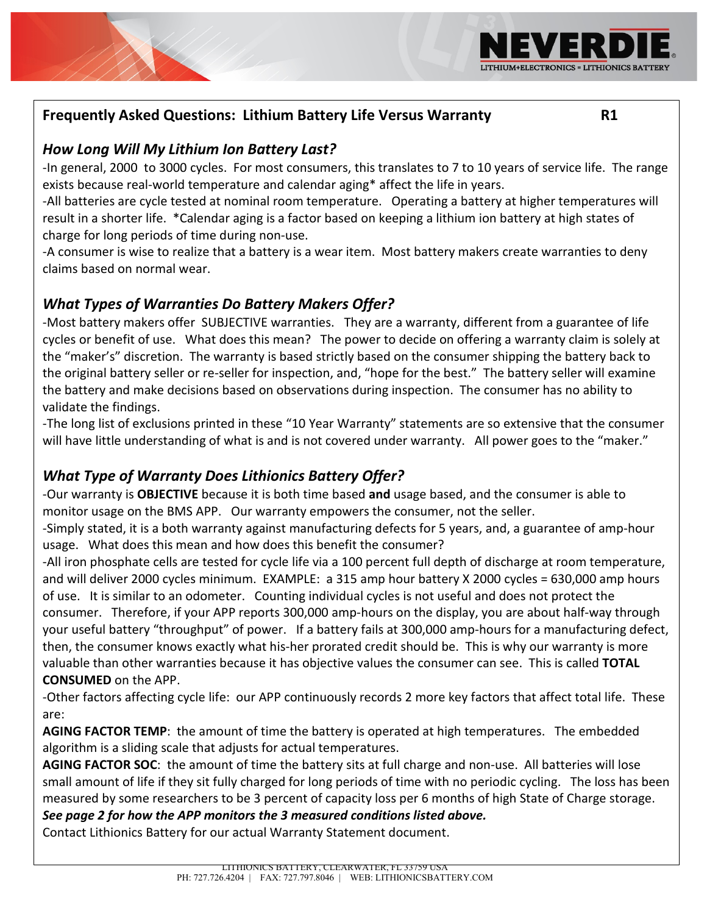## **Frequently Asked Questions: Lithium Battery Life Versus Warranty R1**

#### *How Long Will My Lithium Ion Battery Last?*

-In general, 2000 to 3000 cycles. For most consumers, this translates to 7 to 10 years of service life. The range exists because real-world temperature and calendar aging\* affect the life in years.

-All batteries are cycle tested at nominal room temperature. Operating a battery at higher temperatures will result in a shorter life. \*Calendar aging is a factor based on keeping a lithium ion battery at high states of charge for long periods of time during non-use.

-A consumer is wise to realize that a battery is a wear item. Most battery makers create warranties to deny claims based on normal wear.

## *What Types of Warranties Do Battery Makers Offer?*

-Most battery makers offer SUBJECTIVE warranties. They are a warranty, different from a guarantee of life cycles or benefit of use. What does this mean? The power to decide on offering a warranty claim is solely at the "maker's" discretion. The warranty is based strictly based on the consumer shipping the battery back to the original battery seller or re-seller for inspection, and, "hope for the best." The battery seller will examine the battery and make decisions based on observations during inspection. The consumer has no ability to validate the findings.

-The long list of exclusions printed in these "10 Year Warranty" statements are so extensive that the consumer will have little understanding of what is and is not covered under warranty. All power goes to the "maker."

## *What Type of Warranty Does Lithionics Battery Offer?*

-Our warranty is **OBJECTIVE** because it is both time based **and** usage based, and the consumer is able to monitor usage on the BMS APP. Our warranty empowers the consumer, not the seller.

-Simply stated, it is a both warranty against manufacturing defects for 5 years, and, a guarantee of amp-hour usage. What does this mean and how does this benefit the consumer?

-All iron phosphate cells are tested for cycle life via a 100 percent full depth of discharge at room temperature, and will deliver 2000 cycles minimum. EXAMPLE: a 315 amp hour battery X 2000 cycles = 630,000 amp hours of use. It is similar to an odometer. Counting individual cycles is not useful and does not protect the consumer. Therefore, if your APP reports 300,000 amp-hours on the display, you are about half-way through your useful battery "throughput" of power. If a battery fails at 300,000 amp-hours for a manufacturing defect, then, the consumer knows exactly what his-her prorated credit should be. This is why our warranty is more valuable than other warranties because it has objective values the consumer can see. This is called **TOTAL CONSUMED** on the APP.

-Other factors affecting cycle life: our APP continuously records 2 more key factors that affect total life. These are:

**AGING FACTOR TEMP**: the amount of time the battery is operated at high temperatures. The embedded algorithm is a sliding scale that adjusts for actual temperatures.

**AGING FACTOR SOC**: the amount of time the battery sits at full charge and non-use. All batteries will lose small amount of life if they sit fully charged for long periods of time with no periodic cycling. The loss has been measured by some researchers to be 3 percent of capacity loss per 6 months of high State of Charge storage. *See page 2 for how the APP monitors the 3 measured conditions listed above.* 

Contact Lithionics Battery for our actual Warranty Statement document.